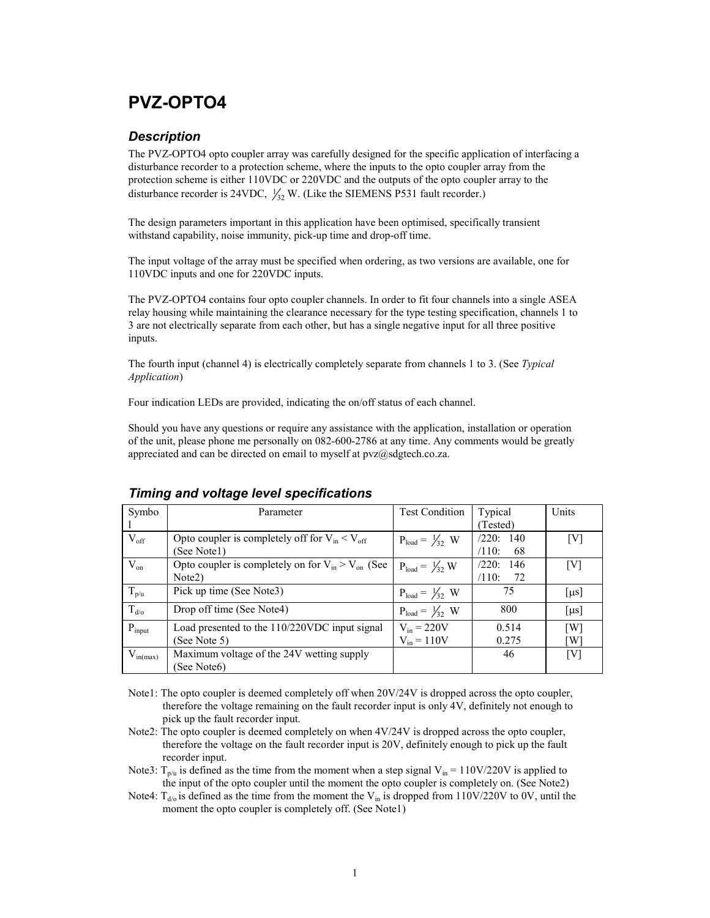## PVZ-OPTO4

### **Description**

The PVZ-OPTO4 opto coupler array was carefully designed for the specific application of interfacing a disturbance recorder to a protection scheme, where the inputs to the opto coupler array from the protection scheme is either 110VDC or 220VDC and the outputs of the opto coupler array to the disturbance recorder is 24VDC,  $\frac{1}{32}$  W. (Like the SIEMENS P531 fault recorder.)

The design parameters important in this application have been optimised, specifically transient withstand capability, noise immunity, pick-up time and drop-off time.

The input voltage of the array must be specified when ordering, as two versions are available, one for 110VDC inputs and one for 220VDC inputs.

The PVZ-OPTO4 contains four opto coupler channels. In order to fit four channels into a single ASEA relay housing while maintaining the clearance necessary for the type testing specification, channels 1 to 3 are not electrically separate from each other, but has a single negative input for all three positive inputs.

The fourth input (channel 4) is electrically completely separate from channels 1 to 3. (See Typical Application)

Four indication LEDs are provided, indicating the on/off status of each channel.

Should you have any questions or require any assistance with the application, installation or operation of the unit, please phone me personally on 082-600-2786 at any time. Any comments would be greatly appreciated and can be directed on email to myself at  $pvz@s\ddot{a}$ , co.za.

| Symbo         | Parameter                                                | <b>Test Condition</b>       | Typical      | Units                 |
|---------------|----------------------------------------------------------|-----------------------------|--------------|-----------------------|
|               |                                                          |                             | (Tested)     |                       |
| $V_{\rm off}$ | Opto coupler is completely off for $V_{in} < V_{off}$    | $P_{load} = \frac{1}{32} W$ | /220:140     | [V]                   |
|               | (See Notel)                                              |                             | /110:<br>68  |                       |
| $V_{on}$      | Opto coupler is completely on for $V_{in} > V_{on}$ (See | $P_{load} = \frac{1}{32} W$ | /220:<br>146 | [V]                   |
|               | Note <sub>2</sub> )                                      |                             | /110:<br>72  |                       |
| $T_{p/u}$     | Pick up time (See Note3)                                 | $P_{load} = \frac{1}{32} W$ | 75           | $\lceil \mu s \rceil$ |
| $T_{d/o}$     | Drop off time (See Note4)                                | $P_{load} = \frac{1}{32} W$ | 800          | $\lceil \mu s \rceil$ |
| $P_{input}$   | Load presented to the 110/220VDC input signal            | $V_{in} = 220V$             | 0.514        | $\lceil W \rceil$     |
|               | (See Note 5)                                             | $V_{in} = 110V$             | 0.275        | [W]                   |
| $V_{in(max)}$ | Maximum voltage of the 24V wetting supply                |                             | 46           | [V]                   |
|               | (See Note6)                                              |                             |              |                       |

#### Timing and voltage level specifications

Note1: The opto coupler is deemed completely off when 20V/24V is dropped across the opto coupler, therefore the voltage remaining on the fault recorder input is only 4V, definitely not enough to pick up the fault recorder input.

Note2: The opto coupler is deemed completely on when  $4V/24V$  is dropped across the opto coupler, therefore the voltage on the fault recorder input is 20V, definitely enough to pick up the fault recorder input.

Note3:  $T_{p/u}$  is defined as the time from the moment when a step signal  $V_{in} = 110V/220V$  is applied to the input of the opto coupler until the moment the opto coupler is completely on. (See Note2)

Note4:  $T_{d/0}$  is defined as the time from the moment the  $V_{in}$  is dropped from 110V/220V to 0V, until the moment the opto coupler is completely off. (See Note1)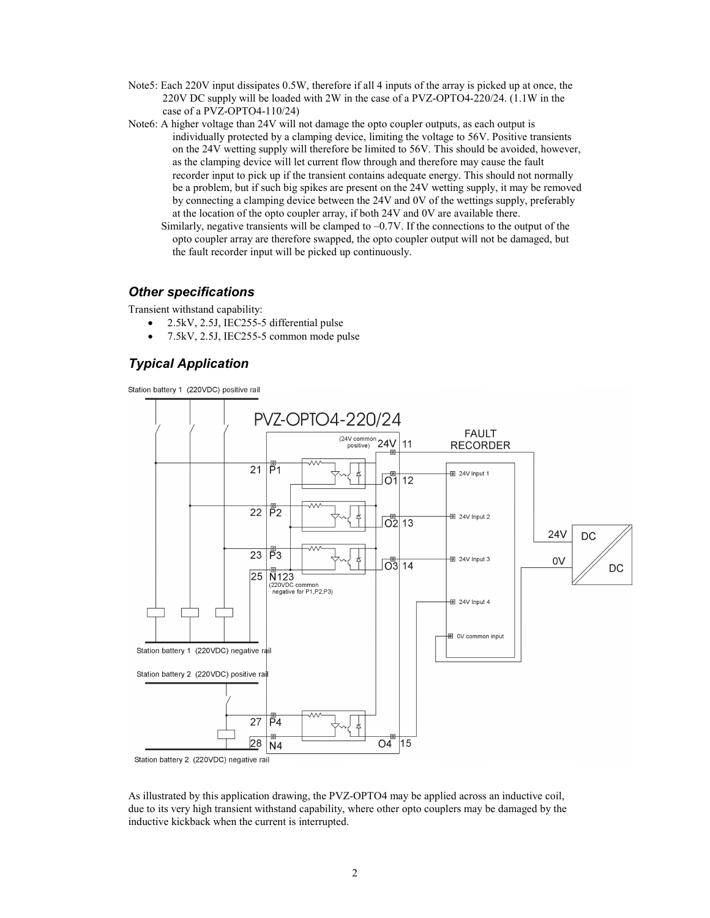- Note5: Each 220V input dissipates 0.5W, therefore if all 4 inputs of the array is picked up at once, the 220V DC supply will be loaded with 2W in the case of a PVZ-OPTO4-220/24. (1.1W in the case of a PVZ-OPTO4-110/24)
- Note6: A higher voltage than 24V will not damage the opto coupler outputs, as each output is individually protected by a clamping device, limiting the voltage to 56V. Positive transients on the 24V wetting supply will therefore be limited to 56V. This should be avoided, however, as the clamping device will let current flow through and therefore may cause the fault recorder input to pick up if the transient contains adequate energy. This should not normally be a problem, but if such big spikes are present on the 24V wetting supply, it may be removed by connecting a clamping device between the 24V and 0V of the wettings supply, preferably at the location of the opto coupler array, if both 24V and 0V are available there.
	- Similarly, negative transients will be clamped to –0.7V. If the connections to the output of the opto coupler array are therefore swapped, the opto coupler output will not be damaged, but the fault recorder input will be picked up continuously.

#### Other specifications

Transient withstand capability:

- 2.5kV, 2.5J, IEC255-5 differential pulse
- 7.5kV, 2.5J, IEC255-5 common mode pulse

### Typical Application

Station battery 1 (220VDC) positive rail



As illustrated by this application drawing, the PVZ-OPTO4 may be applied across an inductive coil, due to its very high transient withstand capability, where other opto couplers may be damaged by the inductive kickback when the current is interrupted.